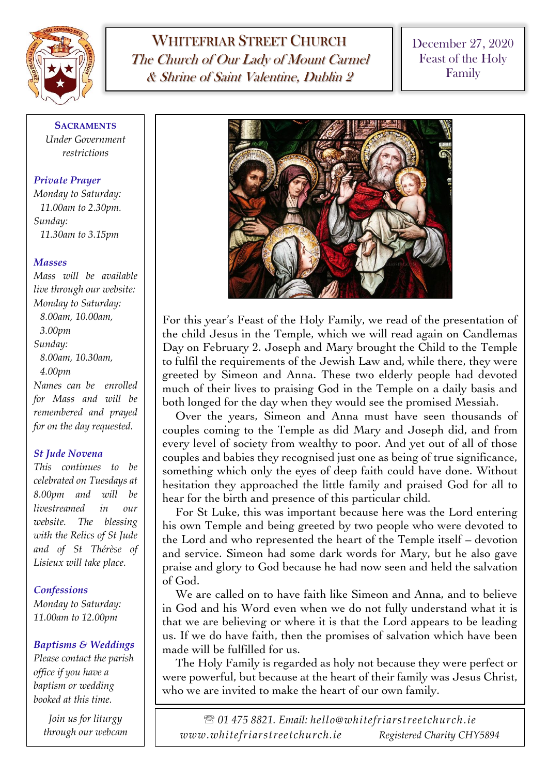

WHITEFRIAR STREET CHURCH The Church of Our Lady of Mount Carmel & Shrine of Saint Valentine, Dublin 2

December 27, 2020 Feast of the Holy Family

**SACRAMENTS** *Under Government restrictions*

## *Private Prayer*

*Monday to Saturday: 11.00am to 2.30pm. Sunday: 11.30am to 3.15pm*

### *Masses*

*Mass will be available live through our website: Monday to Saturday: 8.00am, 10.00am, 3.00pm Sunday: 8.00am, 10.30am, 4.00pm Names can be enrolled for Mass and will be remembered and prayed for on the day requested.*

### *St Jude Novena*

*This continues to be celebrated on Tuesdays at 8.00pm and will be livestreamed in our website. The blessing with the Relics of St Jude and of St Thérèse of Lisieux will take place.*

# *Confessions*

*Monday to Saturday: 11.00am to 12.00pm*

# *Baptisms & Weddings*

*Please contact the parish office if you have a baptism or wedding booked at this time.*

> *Join us for liturgy through our webcam*



For this year's Feast of the Holy Family, we read of the presentation of the child Jesus in the Temple, which we will read again on Candlemas Day on February 2. Joseph and Mary brought the Child to the Temple to fulfil the requirements of the Jewish Law and, while there, they were greeted by Simeon and Anna. These two elderly people had devoted much of their lives to praising God in the Temple on a daily basis and both longed for the day when they would see the promised Messiah.

Over the years, Simeon and Anna must have seen thousands of couples coming to the Temple as did Mary and Joseph did, and from every level of society from wealthy to poor. And yet out of all of those couples and babies they recognised just one as being of true significance, something which only the eyes of deep faith could have done. Without hesitation they approached the little family and praised God for all to hear for the birth and presence of this particular child.

For St Luke, this was important because here was the Lord entering his own Temple and being greeted by two people who were devoted to the Lord and who represented the heart of the Temple itself – devotion and service. Simeon had some dark words for Mary, but he also gave praise and glory to God because he had now seen and held the salvation of God.

We are called on to have faith like Simeon and Anna, and to believe in God and his Word even when we do not fully understand what it is that we are believing or where it is that the Lord appears to be leading us. If we do have faith, then the promises of salvation which have been made will be fulfilled for us.

The Holy Family is regarded as holy not because they were perfect or were powerful, but because at the heart of their family was Jesus Christ, who we are invited to make the heart of our own family.

 *01 475 8821. Email: hello@whitefriarstreetchurch.ie www.whitefriarstreetchurch.ie Registered Charity CHY5894*